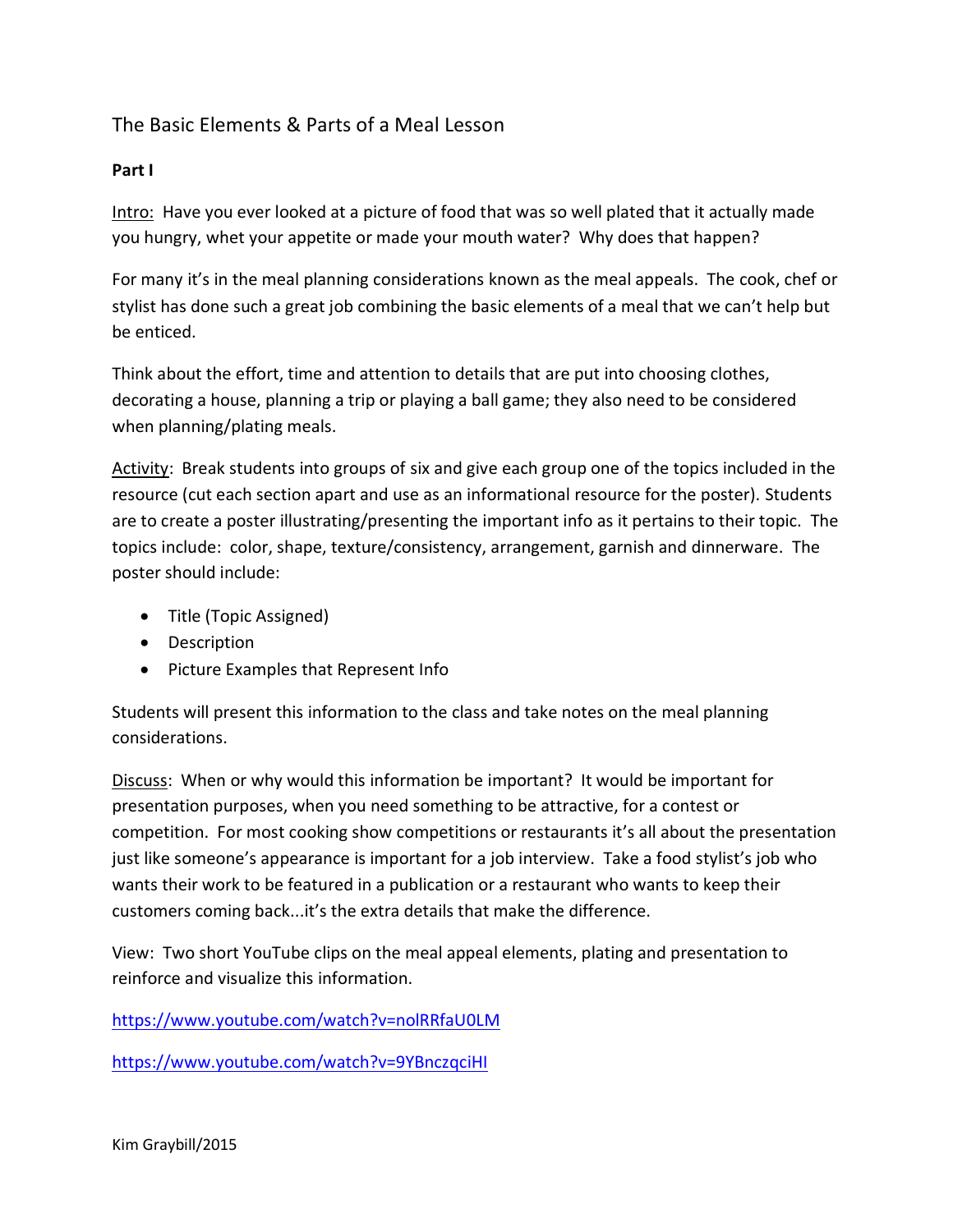# The Basic Elements & Parts of a Meal Lesson

## **Part I**

Intro: Have you ever looked at a picture of food that was so well plated that it actually made you hungry, whet your appetite or made your mouth water? Why does that happen?

For many it's in the meal planning considerations known as the meal appeals. The cook, chef or stylist has done such a great job combining the basic elements of a meal that we can't help but be enticed.

Think about the effort, time and attention to details that are put into choosing clothes, decorating a house, planning a trip or playing a ball game; they also need to be considered when planning/plating meals.

Activity: Break students into groups of six and give each group one of the topics included in the resource (cut each section apart and use as an informational resource for the poster). Students are to create a poster illustrating/presenting the important info as it pertains to their topic. The topics include: color, shape, texture/consistency, arrangement, garnish and dinnerware. The poster should include:

- Title (Topic Assigned)
- Description
- Picture Examples that Represent Info

Students will present this information to the class and take notes on the meal planning considerations.

Discuss: When or why would this information be important? It would be important for presentation purposes, when you need something to be attractive, for a contest or competition. For most cooking show competitions or restaurants it's all about the presentation just like someone's appearance is important for a job interview. Take a food stylist's job who wants their work to be featured in a publication or a restaurant who wants to keep their customers coming back...it's the extra details that make the difference.

View: Two short YouTube clips on the meal appeal elements, plating and presentation to reinforce and visualize this information.

<https://www.youtube.com/watch?v=nolRRfaU0LM>

<https://www.youtube.com/watch?v=9YBnczqciHI>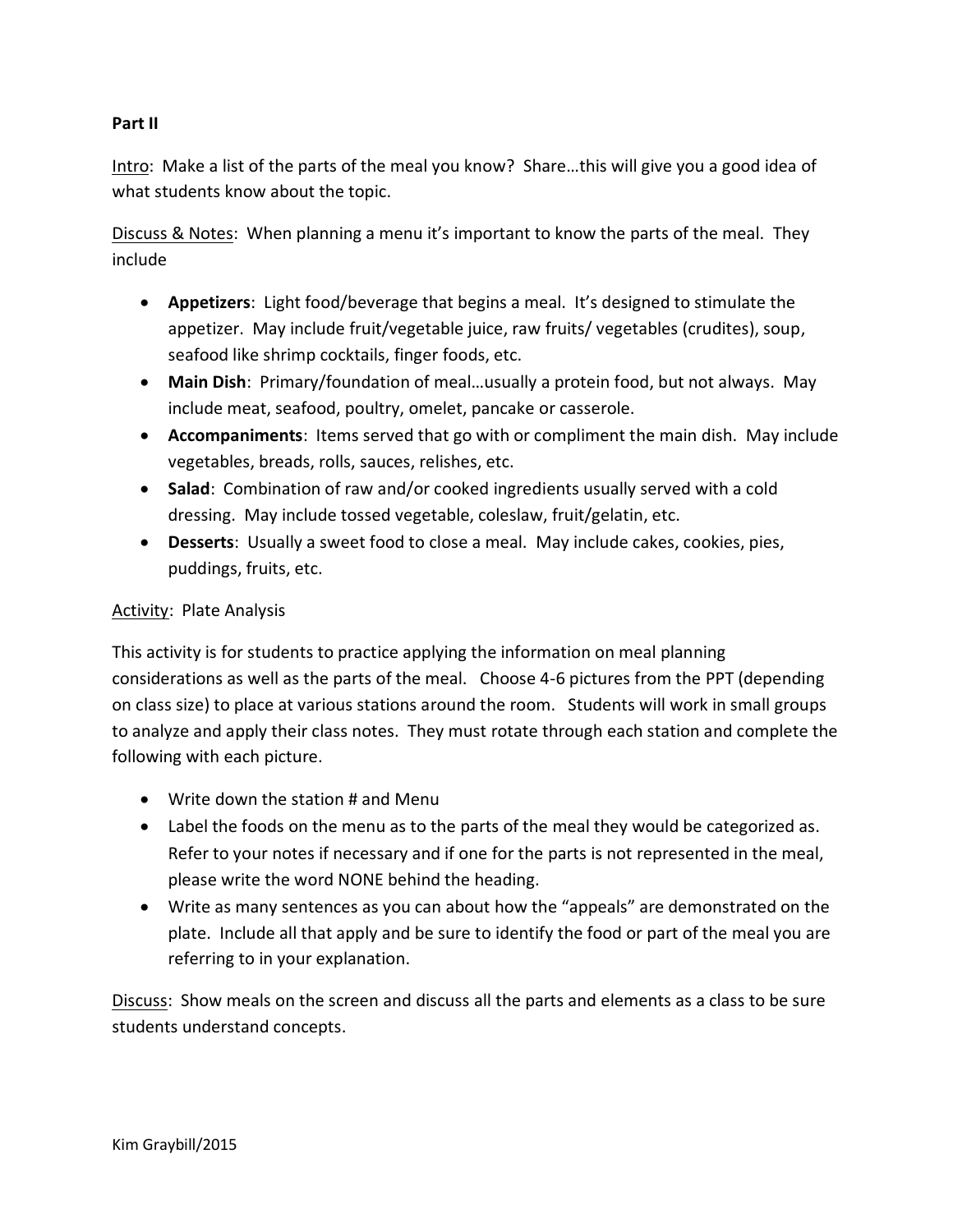## **Part II**

Intro: Make a list of the parts of the meal you know? Share…this will give you a good idea of what students know about the topic.

Discuss & Notes: When planning a menu it's important to know the parts of the meal. They include

- **Appetizers**: Light food/beverage that begins a meal. It's designed to stimulate the appetizer. May include fruit/vegetable juice, raw fruits/ vegetables (crudites), soup, seafood like shrimp cocktails, finger foods, etc.
- **Main Dish**: Primary/foundation of meal…usually a protein food, but not always. May include meat, seafood, poultry, omelet, pancake or casserole.
- **Accompaniments**: Items served that go with or compliment the main dish. May include vegetables, breads, rolls, sauces, relishes, etc.
- **Salad**: Combination of raw and/or cooked ingredients usually served with a cold dressing. May include tossed vegetable, coleslaw, fruit/gelatin, etc.
- **Desserts**: Usually a sweet food to close a meal. May include cakes, cookies, pies, puddings, fruits, etc.

## Activity: Plate Analysis

This activity is for students to practice applying the information on meal planning considerations as well as the parts of the meal. Choose 4-6 pictures from the PPT (depending on class size) to place at various stations around the room. Students will work in small groups to analyze and apply their class notes. They must rotate through each station and complete the following with each picture.

- Write down the station # and Menu
- Label the foods on the menu as to the parts of the meal they would be categorized as. Refer to your notes if necessary and if one for the parts is not represented in the meal, please write the word NONE behind the heading.
- Write as many sentences as you can about how the "appeals" are demonstrated on the plate. Include all that apply and be sure to identify the food or part of the meal you are referring to in your explanation.

Discuss: Show meals on the screen and discuss all the parts and elements as a class to be sure students understand concepts.